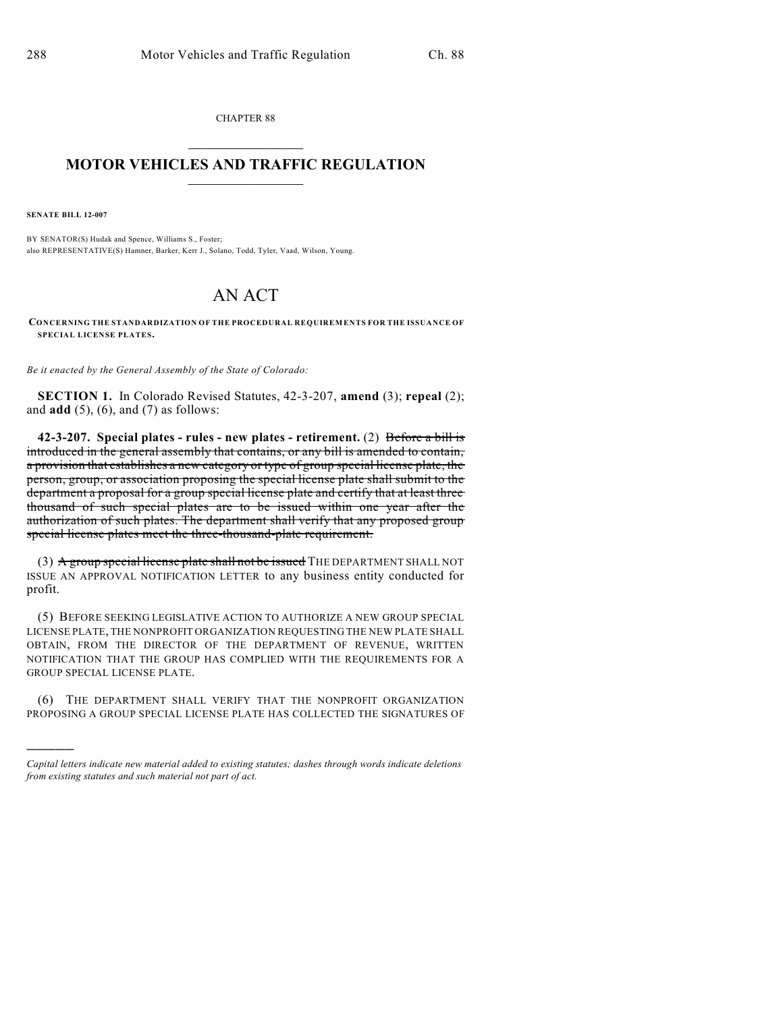CHAPTER 88  $\mathcal{L}_\text{max}$  . The set of the set of the set of the set of the set of the set of the set of the set of the set of the set of the set of the set of the set of the set of the set of the set of the set of the set of the set

## **MOTOR VEHICLES AND TRAFFIC REGULATION**  $\frac{1}{2}$  ,  $\frac{1}{2}$  ,  $\frac{1}{2}$  ,  $\frac{1}{2}$  ,  $\frac{1}{2}$  ,  $\frac{1}{2}$  ,  $\frac{1}{2}$

**SENATE BILL 12-007**

)))))

BY SENATOR(S) Hudak and Spence, Williams S., Foster; also REPRESENTATIVE(S) Hamner, Barker, Kerr J., Solano, Todd, Tyler, Vaad, Wilson, Young.

## AN ACT

**CONCERNING THE STANDARDIZATION OF THE PROCEDURAL REQUIREMENTS FOR THE ISSUANCE OF SPECIAL LICENSE PLATES.**

*Be it enacted by the General Assembly of the State of Colorado:*

**SECTION 1.** In Colorado Revised Statutes, 42-3-207, **amend** (3); **repeal** (2); and **add** (5), (6), and (7) as follows:

**42-3-207. Special plates - rules - new plates - retirement.** (2) Before a bill is introduced in the general assembly that contains, or any bill is amended to contain, a provision that establishes a new category or type of group special license plate, the person, group, or association proposing the special license plate shall submit to the department a proposal for a group special license plate and certify that at least three thousand of such special plates are to be issued within one year after the authorization of such plates. The department shall verify that any proposed group special license plates meet the three-thousand-plate requirement.

(3) A group special license plate shall not be issued THE DEPARTMENT SHALL NOT ISSUE AN APPROVAL NOTIFICATION LETTER to any business entity conducted for profit.

(5) BEFORE SEEKING LEGISLATIVE ACTION TO AUTHORIZE A NEW GROUP SPECIAL LICENSE PLATE, THE NONPROFIT ORGANIZATION REQUESTING THE NEW PLATE SHALL OBTAIN, FROM THE DIRECTOR OF THE DEPARTMENT OF REVENUE, WRITTEN NOTIFICATION THAT THE GROUP HAS COMPLIED WITH THE REQUIREMENTS FOR A GROUP SPECIAL LICENSE PLATE.

(6) THE DEPARTMENT SHALL VERIFY THAT THE NONPROFIT ORGANIZATION PROPOSING A GROUP SPECIAL LICENSE PLATE HAS COLLECTED THE SIGNATURES OF

*Capital letters indicate new material added to existing statutes; dashes through words indicate deletions from existing statutes and such material not part of act.*